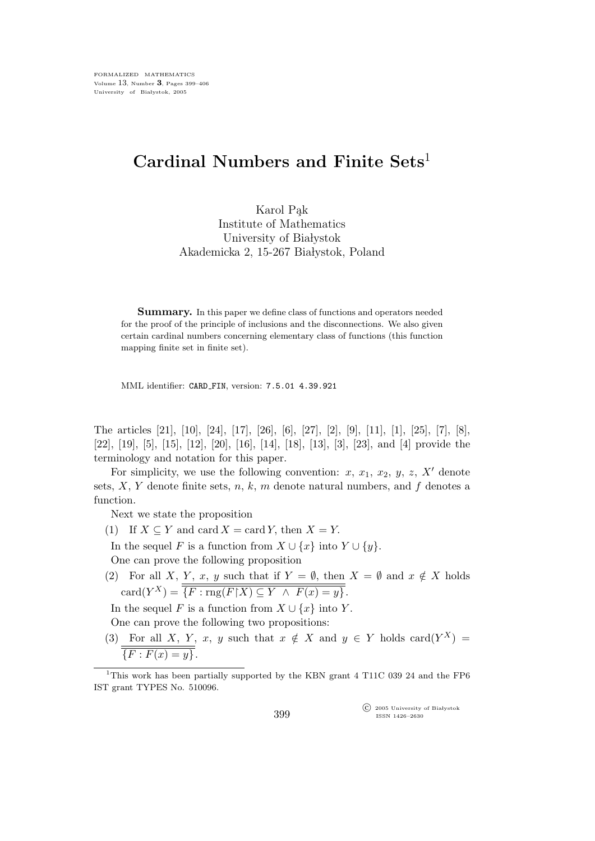## Cardinal Numbers and Finite Sets<sup>1</sup>

Karol Pak Institute of Mathematics University of Białystok Akademicka 2, 15-267 Białystok, Poland

Summary. In this paper we define class of functions and operators needed for the proof of the principle of inclusions and the disconnections. We also given certain cardinal numbers concerning elementary class of functions (this function mapping finite set in finite set).

MML identifier: CARD FIN, version: 7.5.01 4.39.921

The articles [21], [10], [24], [17], [26], [6], [27], [2], [9], [11], [1], [25], [7], [8], [22], [19], [5], [15], [12], [20], [16], [14], [18], [13], [3], [23], and [4] provide the terminology and notation for this paper.

For simplicity, we use the following convention: x,  $x_1, x_2, y, z, X'$  denote sets,  $X, Y$  denote finite sets,  $n, k, m$  denote natural numbers, and  $f$  denotes a function.

Next we state the proposition

(1) If  $X \subseteq Y$  and card  $X = \text{card } Y$ , then  $X = Y$ .

In the sequel F is a function from  $X \cup \{x\}$  into  $Y \cup \{y\}$ .

One can prove the following proposition

(2) For all X, Y, x, y such that if  $Y = \emptyset$ , then  $X = \emptyset$  and  $x \notin X$  holds  $card(Y^X) = \overline{\overline{\{F : rng(F\restriction X) \subseteq Y \land F(x) = y\}}}.$ 

In the sequel F is a function from  $X \cup \{x\}$  into Y.

One can prove the following two propositions:

(3) For all X, Y, x, y such that  $x \notin X$  and  $y \in Y$  holds card $(Y^X) =$  ${F : F(x) = y}.$ 

 $\widehat{\mathbb{C}}$  2005 University of Białystok ISSN 1426–2630

<sup>&</sup>lt;sup>1</sup>This work has been partially supported by the KBN grant 4 T11C 039 24 and the FP6 IST grant TYPES No. 510096.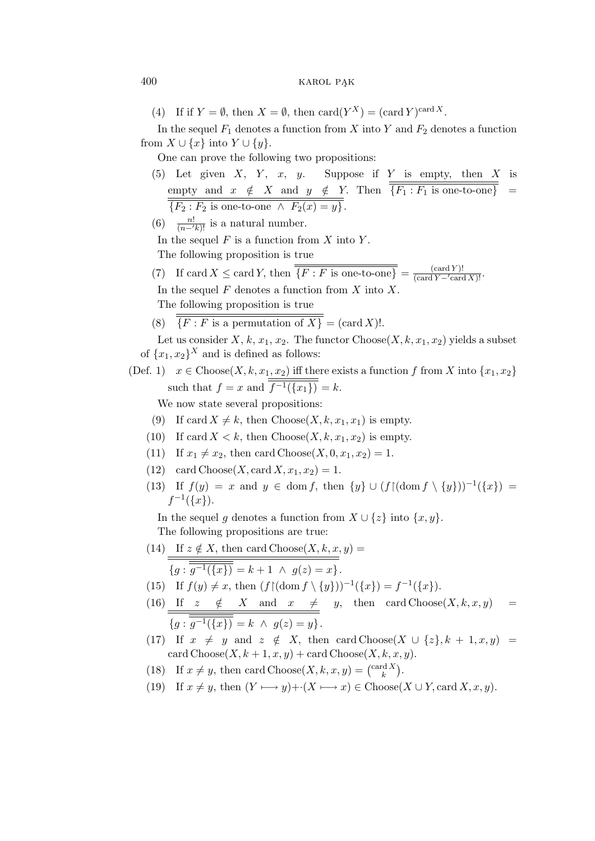(4) If if  $Y = \emptyset$ , then  $X = \emptyset$ , then  $\text{card}(Y^X) = (\text{card } Y)^{\text{card } X}$ .

In the sequel  $F_1$  denotes a function from X into Y and  $F_2$  denotes a function from  $X \cup \{x\}$  into  $Y \cup \{y\}.$ 

One can prove the following two propositions:

- (5) Let given  $X$ ,  $Y$ ,  $x$ ,  $y$ . Suppose if  $Y$  is empty, then  $X$  is empty and  $x \notin X$  and  $y \notin Y$ . Then  ${F_1 : F_1 \text{ is one-to-one}} =$  ${F_2 : F_2 \text{ is one-to-one } \land F_2(x) = y}.$
- (6)  $\frac{n!}{(n-k)!}$  is a natural number.

In the sequel  $F$  is a function from  $X$  into  $Y$ .

The following proposition is true

(7) If card  $X \leq \text{card } Y$ , then  $\overline{\{F : F \text{ is one-to-one}\}} = \frac{(\text{card } Y)!}{(\text{card } Y - \text{card } X)!}$ . In the sequel  $F$  denotes a function from  $X$  into  $X$ .

The following proposition is true

(8)  $\overline{\overline{\{F : F \text{ is a permutation of } X\}}} = (\text{card } X)!$ .

Let us consider X, k,  $x_1, x_2$ . The functor Choose(X, k,  $x_1, x_2$ ) yields a subset of  $\{x_1, x_2\}^X$  and is defined as follows:

(Def. 1)  $x \in \text{Choose}(X, k, x_1, x_2)$  iff there exists a function f from X into  $\{x_1, x_2\}$ such that  $f = x$  and  $\overline{f^{-1}(\{x_1\})} = k$ .

We now state several propositions:

- (9) If card  $X \neq k$ , then Choose(X, k,  $x_1, x_1$ ) is empty.
- (10) If card  $X < k$ , then Choose(X, k, x<sub>1</sub>, x<sub>2</sub>) is empty.
- (11) If  $x_1 \neq x_2$ , then card Choose(X, 0,  $x_1, x_2$ ) = 1.
- (12) card Choose(X, card  $X, x_1, x_2$ ) = 1.
- (13) If  $f(y) = x$  and  $y \in \text{dom } f$ , then  $\{y\} \cup (f \upharpoonright (\text{dom } f \setminus \{y\}))^{-1}(\{x\}) =$  $f^{-1}(\overline{\{x\}}).$

In the sequel g denotes a function from  $X \cup \{z\}$  into  $\{x, y\}$ .

The following propositions are true:

(14) If 
$$
z \notin X
$$
, then card Choose $(X, k, x, y)$  =  
\n
$$
\overline{\{g : \overline{g^{-1}(\{x\})} = k + 1 \land g(z) = x\}}.
$$

- (15) If  $f(y) \neq x$ , then  $(f \mid (\text{dom } f \setminus \{y\}))^{-1}(\{x\}) = f^{-1}(\{x\}).$
- (16) If  $z \notin X$  and  $x \neq y$ , then card Choose $(X, k, x, y)$  =  ${g : \overline{g^{-1}(\{x\})} = k \land g(z) = y}.$
- (17) If  $x \neq y$  and  $z \notin X$ , then card Choose(X ∪ {z}, k + 1, x, y) = card  $\text{Choose}(X, k+1, x, y) + \text{card Choose}(X, k, x, y).$
- (18) If  $x \neq y$ , then card Choose(X, k, x, y) =  $\binom{\text{card } X}{k}$ .
- (19) If  $x \neq y$ , then  $(Y \longmapsto y)+\cdot(X \longmapsto x) \in \text{Choose}(X \cup Y, \text{card } X, x, y)$ .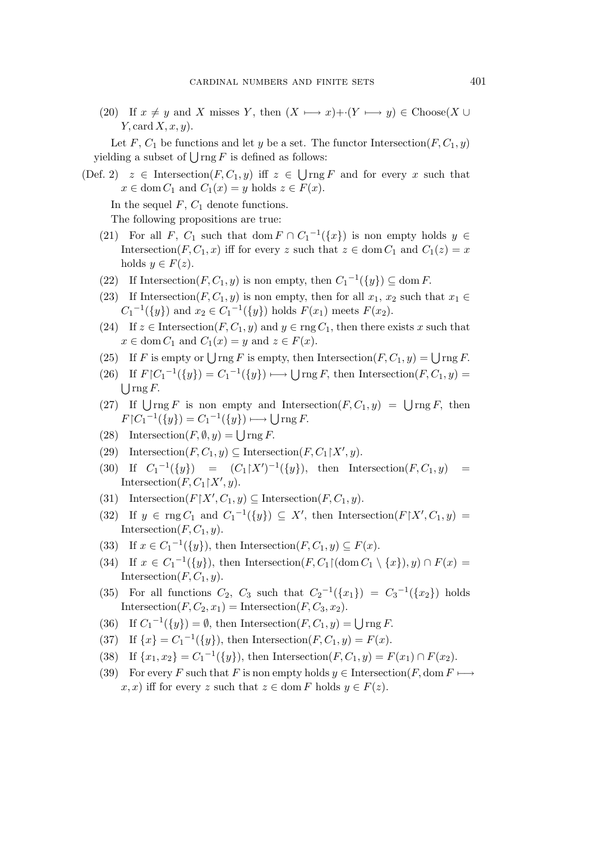(20) If  $x \neq y$  and X misses Y, then  $(X \longmapsto x)+(Y \longmapsto y) \in \text{Choose}(X \cup$ Y, card  $X, x, y$ ).

Let F,  $C_1$  be functions and let y be a set. The functor Intersection(F,  $C_1$ , y) yielding a subset of  $\bigcup$  rng F is defined as follows:

(Def. 2)  $z \in$  Intersection( $F, C_1, y$ ) iff  $z \in \bigcup \text{rng } F$  and for every x such that  $x \in \text{dom } C_1 \text{ and } C_1(x) = y \text{ holds } z \in F(x).$ 

In the sequel  $F, C_1$  denote functions.

The following propositions are true:

- (21) For all F,  $C_1$  such that dom  $F \cap C_1^{-1}(\lbrace x \rbrace)$  is non empty holds  $y \in$ Intersection(F, C<sub>1</sub>, x) iff for every z such that  $z \in \text{dom } C_1$  and  $C_1(z) = x$ holds  $y \in F(z)$ .
- (22) If Intersection(F, C<sub>1</sub>, y) is non empty, then  $C_1^{-1}(\lbrace y \rbrace) \subseteq \text{dom } F$ .
- (23) If Intersection(F, C<sub>1</sub>, y) is non empty, then for all  $x_1, x_2$  such that  $x_1 \in$  $C_1^{-1}(\{y\})$  and  $x_2 \in C_1^{-1}(\{y\})$  holds  $F(x_1)$  meets  $F(x_2)$ .
- (24) If  $z \in \text{Intersection}(F, C_1, y)$  and  $y \in \text{rng } C_1$ , then there exists x such that  $x \in \text{dom } C_1 \text{ and } C_1(x) = y \text{ and } z \in F(x).$
- (25) If F is empty or  $\bigcup$  rng F is empty, then Intersection(F,  $C_1$ , y) =  $\bigcup$  rng F.
- (26) If  $F[C_1^{-1}(\{y\}) = C_1^{-1}(\{y\}) \longrightarrow \bigcup \text{rng } F$ , then Intersection $(F, C_1, y) =$  $\bigcup$  rng F.
- (27) If  $\bigcup \text{rng } F$  is non empty and Intersection $(F, C_1, y) = \bigcup \text{rng } F$ , then  $F[C_1^{-1}(\lbrace y \rbrace) = C_1^{-1}(\lbrace y \rbrace) \longmapsto \bigcup \text{rng } F.$
- (28) Intersection  $(F, \emptyset, y) = \bigcup \text{rng } F$ .
- (29) Intersection $(F, C_1, y) \subseteq \text{Intersection}(F, C_1 \upharpoonright X', y)$ .
- (30) If  $C_1^{-1}(\{y\}) = (C_1 \upharpoonright X')^{-1}(\{y\}),$  then Intersection $(F, C_1, y) = (C_1 \upharpoonright X')^{-1}(\{y\})$ Intersection $(F, C_1 \upharpoonright X', y)$ .
- (31) Intersection( $F \mid X', C_1, y) \subseteq$  Intersection( $F, C_1, y$ ).
- (32) If  $y \in \text{rng } C_1$  and  $C_1^{-1}(\{y\}) \subseteq X'$ , then Intersection( $F \upharpoonright X', C_1, y$ ) = Intersection( $F, C_1, y$ ).
- (33) If  $x \in C_1^{-1}(\{y\})$ , then Intersection $(F, C_1, y) \subseteq F(x)$ .
- (34) If  $x \in C_1^{-1}(\{y\})$ , then Intersection $(F, C_1 \cap \{ \text{dom } C_1 \setminus \{x\})$ ,  $y) \cap F(x) =$ Intersection $(F, C_1, y)$ .
- (35) For all functions  $C_2$ ,  $C_3$  such that  $C_2^{-1}(\lbrace x_1 \rbrace) = C_3^{-1}(\lbrace x_2 \rbrace)$  holds Intersection( $F, C_2, x_1$ ) = Intersection( $F, C_3, x_2$ ).
- (36) If  $C_1^{-1}(\lbrace y \rbrace) = \emptyset$ , then Intersection $(F, C_1, y) = \bigcup \text{rng } F$ .
- (37) If  $\{x\} = C_1^{-1}(\{y\})$ , then Intersection $(F, C_1, y) = F(x)$ .
- (38) If  $\{x_1, x_2\} = C_1^{-1}(\{y\})$ , then Intersection $(F, C_1, y) = F(x_1) \cap F(x_2)$ .
- (39) For every F such that F is non empty holds  $y \in \text{Intersection}(F, \text{dom } F \longmapsto$  $x, x$ ) iff for every z such that  $z \in \text{dom } F$  holds  $y \in F(z)$ .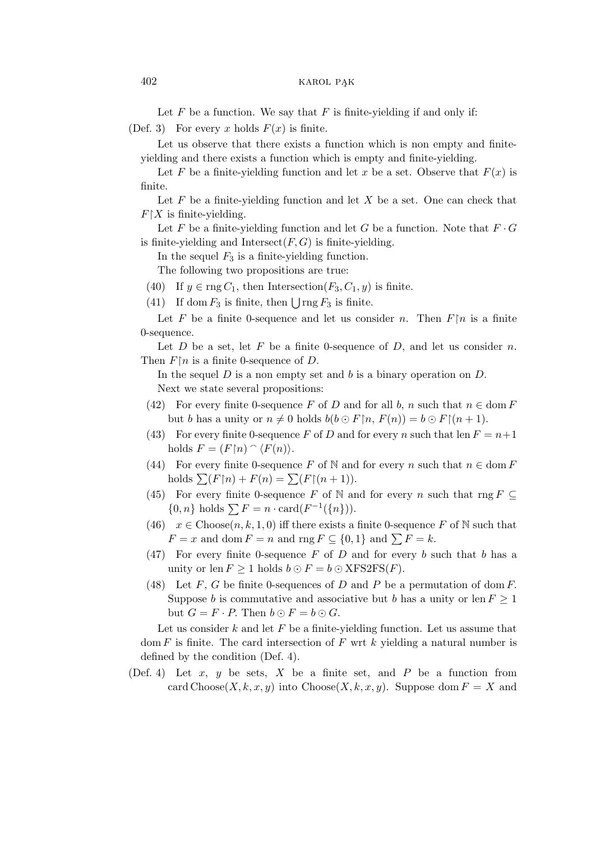Let  $F$  be a function. We say that  $F$  is finite-yielding if and only if: (Def. 3) For every x holds  $F(x)$  is finite.

Let us observe that there exists a function which is non empty and finiteyielding and there exists a function which is empty and finite-yielding.

Let F be a finite-yielding function and let x be a set. Observe that  $F(x)$  is finite.

Let  $F$  be a finite-yielding function and let  $X$  be a set. One can check that  $F\upharpoonright X$  is finite-yielding.

Let F be a finite-yielding function and let G be a function. Note that  $F \cdot G$ is finite-yielding and Intersect $(F, G)$  is finite-yielding.

In the sequel  $F_3$  is a finite-yielding function.

The following two propositions are true:

(40) If  $y \in \text{rng } C_1$ , then Intersection( $F_3, C_1, y$ ) is finite.

(41) If dom  $F_3$  is finite, then  $\bigcup$  rng  $F_3$  is finite.

Let F be a finite 0-sequence and let us consider n. Then  $F \upharpoonright n$  is a finite 0-sequence.

Let  $D$  be a set, let  $F$  be a finite 0-sequence of  $D$ , and let us consider  $n$ . Then  $F \upharpoonright n$  is a finite 0-sequence of D.

In the sequel  $D$  is a non empty set and  $b$  is a binary operation on  $D$ . Next we state several propositions:

- (42) For every finite 0-sequence F of D and for all b, n such that  $n \in \text{dom } F$ but b has a unity or  $n \neq 0$  holds  $b(b \odot F \upharpoonright n, F(n)) = b \odot F \upharpoonright (n + 1)$ .
- (43) For every finite 0-sequence F of D and for every n such that len  $F = n+1$ holds  $F = (F \upharpoonright n) \cap \langle F(n) \rangle$ .
- (44) For every finite 0-sequence F of N and for every n such that  $n \in \text{dom } F$ holds  $\sum (F \upharpoonright n) + F(n) = \sum (F \upharpoonright (n+1)).$
- (45) For every finite 0-sequence F of N and for every n such that rng  $F \subset$ {0, n} holds  $\sum F = n \cdot \text{card}(F^{-1}(\{n\})).$
- (46)  $x \in \text{Choose}(n, k, 1, 0)$  iff there exists a finite 0-sequence F of N such that  $F = x$  and dom  $F = n$  and rng  $F \subseteq \{0, 1\}$  and  $\sum F = k$ .
- (47) For every finite 0-sequence  $F$  of  $D$  and for every b such that b has a unity or len  $F \geq 1$  holds  $b \odot F = b \odot \text{XFS2FS}(F)$ .
- (48) Let F, G be finite 0-sequences of D and P be a permutation of dom F. Suppose b is commutative and associative but b has a unity or len  $F \geq 1$ but  $G = F \cdot P$ . Then  $b \odot F = b \odot G$ .

Let us consider  $k$  and let  $F$  be a finite-vielding function. Let us assume that dom F is finite. The card intersection of F wrt  $k$  yielding a natural number is defined by the condition (Def. 4).

(Def. 4) Let  $x, y$  be sets,  $X$  be a finite set, and  $P$  be a function from card Choose(X, k, x, y) into Choose(X, k, x, y). Suppose dom  $F = X$  and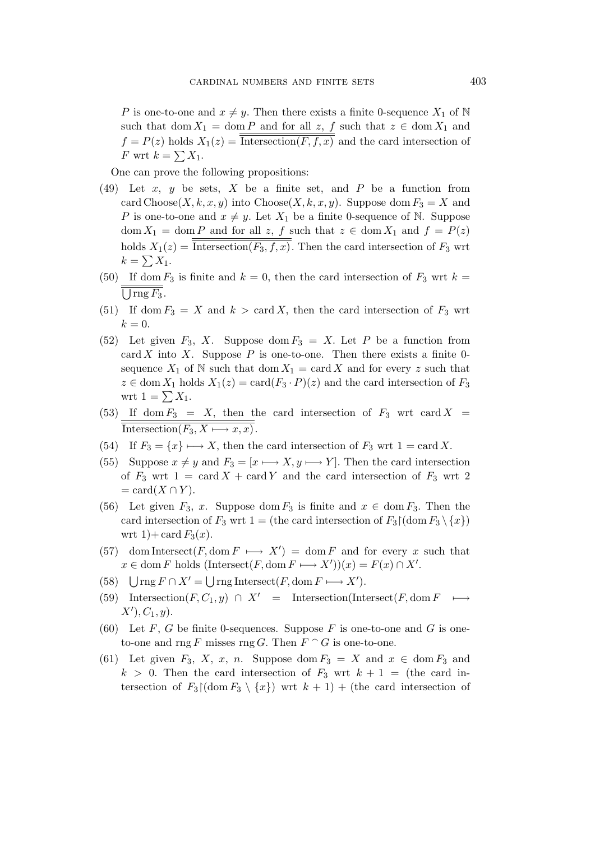P is one-to-one and  $x \neq y$ . Then there exists a finite 0-sequence  $X_1$  of N such that dom  $X_1 = \text{dom } P$  and for all z, f such that  $z \in \text{dom } X_1$  and  $f = P(z)$  holds  $X_1(z) = \overline{\text{Intersection}(F, f, x)}$  and the card intersection of F wrt  $k = \sum X_1$ .

One can prove the following propositions:

- $(49)$  Let x, y be sets, X be a finite set, and P be a function from card Choose(X, k, x, y) into Choose(X, k, x, y). Suppose dom  $F_3 = X$  and P is one-to-one and  $x \neq y$ . Let  $X_1$  be a finite 0-sequence of N. Suppose  $dom X_1 = dom P$  and for all z, f such that  $z \in dom X_1$  and  $f = P(z)$ holds  $X_1(z) = \overline{\text{Intersection}(F_3, f, x)}$ . Then the card intersection of  $F_3$  wrt  $k=\sum X_1.$
- (50) If dom  $F_3$  is finite and  $k = 0$ , then the card intersection of  $F_3$  wrt  $k =$  $\bigcup$  rng  $F_3$ .
- (51) If dom  $F_3 = X$  and  $k > \text{card } X$ , then the card intersection of  $F_3$  wrt  $k=0.$
- (52) Let given  $F_3$ , X. Suppose dom  $F_3 = X$ . Let P be a function from card X into X. Suppose  $P$  is one-to-one. Then there exists a finite 0sequence  $X_1$  of N such that dom  $X_1 = \text{card } X$  and for every z such that  $z \in \text{dom } X_1$  holds  $X_1(z) = \text{card}(F_3 \cdot P)(z)$  and the card intersection of  $F_3$ wrt  $1 = \sum X_1$ .
- (53) If dom  $F_3 = X$ , then the card intersection of  $F_3$  wrt card  $X =$ Intersection $(F_3, X \longmapsto x, x)$ .
- (54) If  $F_3 = \{x\} \longmapsto X$ , then the card intersection of  $F_3$  wrt  $1 = \text{card } X$ .
- (55) Suppose  $x \neq y$  and  $F_3 = [x \longmapsto X, y \longmapsto Y]$ . Then the card intersection of  $F_3$  wrt  $1 = \text{card } X + \text{card } Y$  and the card intersection of  $F_3$  wrt 2  $= \text{card}(X \cap Y).$
- (56) Let given  $F_3$ , x. Suppose dom  $F_3$  is finite and  $x \in \text{dom } F_3$ . Then the card intersection of  $F_3$  wrt 1 = (the card intersection of  $F_3 \setminus \{x\}$ ) wrt 1) + card  $F_3(x)$ .
- (57) dom Intersect(F, dom  $F \mapsto X'$ ) = dom F and for every x such that  $x \in \text{dom } F$  holds  $(\text{Interest}(F, \text{dom } F \longmapsto X'))(x) = F(x) \cap X'.$
- (58)  $\bigcup \text{rng } F \cap X' = \bigcup \text{rng Interest}(F, \text{dom } F \longmapsto X').$
- (59) Intersection( $F, C_1, y$ ) ∩  $X'$  = Intersection(Intersect( $F$ , dom  $F \longmapsto$  $X'), C_1, y).$
- (60) Let F, G be finite 0-sequences. Suppose F is one-to-one and G is oneto-one and rng F misses rng G. Then  $F \cap G$  is one-to-one.
- (61) Let given  $F_3$ , X, x, n. Suppose dom  $F_3 = X$  and  $x \in \text{dom } F_3$  and  $k > 0$ . Then the card intersection of  $F_3$  wrt  $k + 1 =$  (the card intersection of  $F_3 \mid (\text{dom } F_3 \setminus \{x\})$  wrt  $k + 1$ ) + (the card intersection of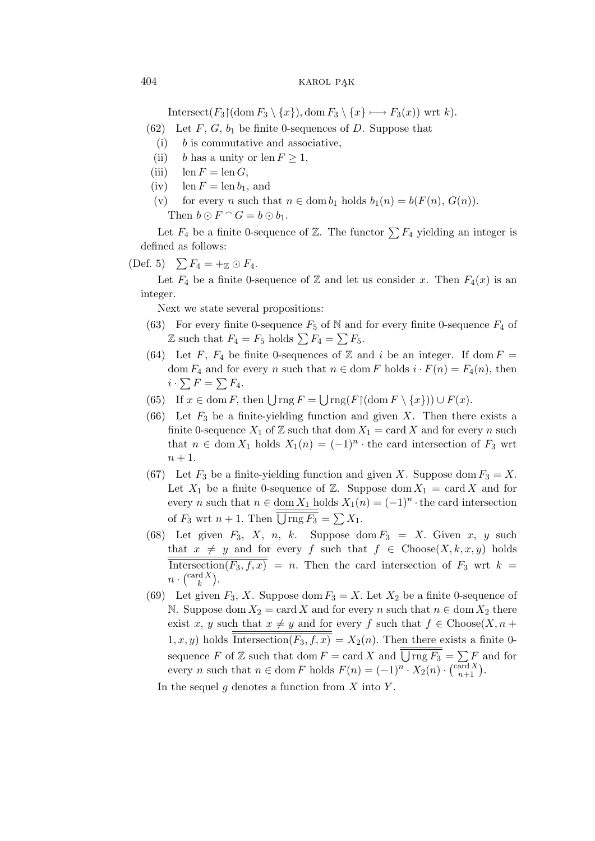Intersect( $F_3 \mid (\text{dom } F_3 \setminus \{x\})$ , dom  $F_3 \setminus \{x\} \longmapsto F_3(x)$ ) wrt k).

- (62) Let F, G,  $b_1$  be finite 0-sequences of D. Suppose that
	- (i)  $b$  is commutative and associative,
	- (ii) b has a unity or len  $F \geq 1$ ,
- (iii)  $\text{len } F = \text{len } G,$
- (iv) len  $F = \text{len } b_1$ , and
- (v) for every n such that  $n \in \text{dom } b_1$  holds  $b_1(n) = b(F(n), G(n)).$ Then  $b \odot F \cap G = b \odot b_1$ .

Let  $F_4$  be a finite 0-sequence of  $\mathbb{Z}$ . The functor  $\sum F_4$  yielding an integer is defined as follows:

$$
(Def. 5) \quad \sum F_4 = +_{\mathbb{Z}} \odot F_4.
$$

Let  $F_4$  be a finite 0-sequence of  $\mathbb Z$  and let us consider x. Then  $F_4(x)$  is an integer.

Next we state several propositions:

- (63) For every finite 0-sequence  $F_5$  of N and for every finite 0-sequence  $F_4$  of  $\mathbb Z$  such that  $F_4 = F_5$  holds  $\sum F_4 = \sum F_5$ .
- (64) Let F,  $F_4$  be finite 0-sequences of Z and i be an integer. If dom  $F =$ dom  $F_4$  and for every n such that  $n \in \text{dom } F$  holds  $i \cdot F(n) = F_4(n)$ , then  $i\cdot\sum F=\sum F_4.$
- (65) If  $x \in \text{dom } F$ , then  $\bigcup \text{rng } F = \bigcup \text{rng}(F \restriction (\text{dom } F \setminus \{x\}) \cup F(x)$ .
- (66) Let  $F_3$  be a finite-yielding function and given X. Then there exists a finite 0-sequence  $X_1$  of  $\mathbb Z$  such that  $\text{dom } X_1 = \text{card } X$  and for every n such that  $n \in \text{dom } X_1$  holds  $X_1(n) = (-1)^n \cdot$  the card intersection of  $F_3$  wrt  $n+1$ .
- (67) Let  $F_3$  be a finite-yielding function and given X. Suppose dom  $F_3 = X$ . Let  $X_1$  be a finite 0-sequence of Z. Suppose dom  $X_1 = \text{card } X$  and for every *n* such that  $n \in \text{dom } X_1$  holds  $X_1(n) = (-1)^n \cdot$  the card intersection of  $F_3$  wrt  $n+1$ . Then  $\bigcup \text{rng } F_3 = \sum X_1$ .
- (68) Let given  $F_3$ , X, n, k. Suppose dom  $F_3 = X$ . Given x, y such that  $x \neq y$  and for every f such that  $f \in \text{Choose}(X, k, x, y)$  holds Intersection( $F_3, f, x$ ) = n. Then the card intersection of  $F_3$  wrt  $k =$  $n \cdot {\text{card } X \choose k}.$
- (69) Let given  $F_3$ , X. Suppose dom  $F_3 = X$ . Let  $X_2$  be a finite 0-sequence of N. Suppose dom  $X_2 = \text{card } X$  and for every n such that  $n \in \text{dom } X_2$  there exist x, y such that  $x \neq y$  and for every f such that  $f \in Choose(X, n +$  $1, x, y$ ) holds  $\overline{\text{Intersection}(F_3, f, x)} = X_2(n)$ . Then there exists a finite 0sequence F of Z such that dom  $F = \text{card } X$  and  $\overline{\bigcup \text{rng } F_3} = \sum F$  and for every *n* such that  $n \in \text{dom } F$  holds  $F(n) = (-1)^n \cdot X_2(n) \cdot {\text{card } X \choose n+1}.$

In the sequel  $g$  denotes a function from  $X$  into  $Y$ .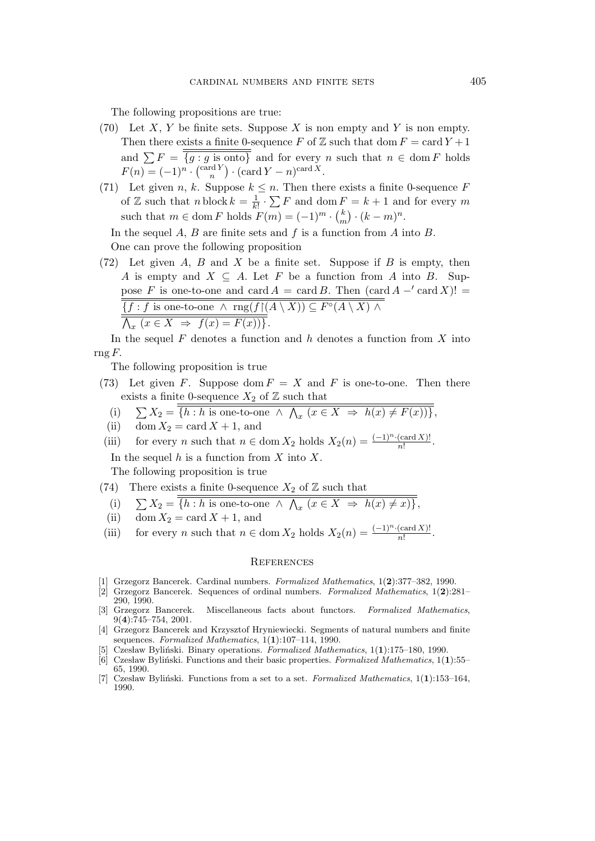The following propositions are true:

- (70) Let X, Y be finite sets. Suppose X is non empty and Y is non empty. Then there exists a finite 0-sequence F of Z such that dom  $F = \text{card } Y + 1$ and  $\sum F = \{g : g \text{ is onto}\}\$ and for every n such that  $n \in \text{dom } F$  holds  $F(n) = (-1)^n \cdot \left(\frac{\operatorname{card} Y}{n}\right) \cdot \left(\operatorname{card} Y - n\right)^{\operatorname{card} X}.$
- (71) Let given n, k. Suppose  $k \leq n$ . Then there exists a finite 0-sequence F of Z such that  $n \text{ block } k = \frac{1}{k!} \cdot \sum F$  and dom  $F = k + 1$  and for every m such that  $m \in \text{dom } F$  holds  $F(m) = (-1)^m \cdot {k \choose m}$  $\binom{k}{m} \cdot (k-m)^n$ .

In the sequel A, B are finite sets and  $f$  is a function from A into B. One can prove the following proposition

(72) Let given A, B and X be a finite set. Suppose if B is empty, then A is empty and  $X \subseteq A$ . Let F be a function from A into B. Suppose F is one-to-one and card  $A = \text{card } B$ . Then  $(\text{card } A - ' \text{ card } X)!$  ${f : f \text{ is one-to-one } \land \text{ rng}(f \restriction (A \setminus X)) \subseteq F \circ (A \setminus X) \land$  $\bigwedge_x (x \in X \Rightarrow f(x) = F(x))\}.$ 

In the sequel  $F$  denotes a function and  $h$  denotes a function from  $X$  into rng  $F$ .

The following proposition is true

- (73) Let given F. Suppose dom  $F = X$  and F is one-to-one. Then there exists a finite 0-sequence  $X_2$  of  $\mathbb Z$  such that
	- (i)  $\sum X_2 = \{h : h \text{ is one-to-one } \wedge \bigwedge_x (x \in X \Rightarrow h(x) \neq F(x))\},\$
	- (ii) dom  $X_2 = \text{card } X + 1$ , and
- (iii) for every n such that  $n \in \text{dom } X_2$  holds  $X_2(n) = \frac{(-1)^n \cdot (\text{card } X)!}{n!}$ .

In the sequel  $h$  is a function from  $X$  into  $X$ .

The following proposition is true

(74) There exists a finite 0-sequence  $X_2$  of  $\mathbb Z$  such that

(i) 
$$
\sum X_2 = \overline{\{h : h \text{ is one-to-one } \land \bigwedge_x (x \in X \Rightarrow h(x) \neq x)\}},
$$

- (ii) dom  $X_2 = \text{card } X + 1$ , and
- (iii) for every n such that  $n \in \text{dom } X_2$  holds  $X_2(n) = \frac{(-1)^n \cdot (\text{card } X)!}{n!}$ .

## **REFERENCES**

- [1] Grzegorz Bancerek. Cardinal numbers. Formalized Mathematics, 1(2):377–382, 1990.
- [2] Grzegorz Bancerek. Sequences of ordinal numbers. Formalized Mathematics, 1(2):281– 290, 1990.<br>[3] Grzegorz Bancerek.
- Miscellaneous facts about functors. Formalized Mathematics, 9(4):745–754, 2001.
- [4] Grzegorz Bancerek and Krzysztof Hryniewiecki. Segments of natural numbers and finite sequences. Formalized Mathematics, 1(1):107-114, 1990.
- Czesław Byliński. Binary operations. Formalized Mathematics, 1(1):175–180, 1990.
- [6] Czesław Byliński. Functions and their basic properties. Formalized Mathematics,  $1(1):$ 55– 65, 1990.
- [7] Czesław Byliński. Functions from a set to a set. Formalized Mathematics, 1(1):153-164, 1990.